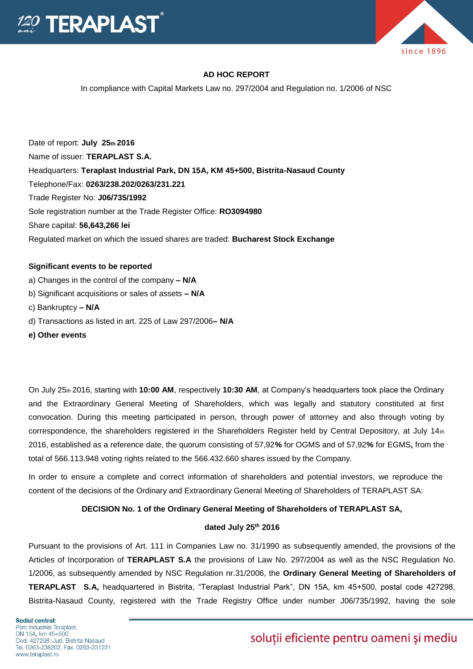



## **AD HOC REPORT**

In compliance with Capital Markets Law no. 297/2004 and Regulation no. 1/2006 of NSC

Date of report: **July 25th 2016**  Name of issuer: **TERAPLAST S.A.**  Headquarters: **Teraplast Industrial Park, DN 15A, KM 45+500, Bistrita-Nasaud County**  Telephone/Fax: **0263/238.202/0263/231.221**  Trade Register No: **J06/735/1992**  Sole registration number at the Trade Register Office: **RO3094980**  Share capital: **56,643,266 lei**  Regulated market on which the issued shares are traded: **Bucharest Stock Exchange** 

#### **Significant events to be reported**

- a) Changes in the control of the company **– N/A**
- b) Significant acquisitions or sales of assets **– N/A**
- c) Bankruptcy **– N/A**
- d) Transactions as listed in art. 225 of Law 297/2006**– N/A**
- **e) Other events**

On July 25th 2016, starting with **10:00 AM**, respectively **10:30 AM**, at Company's headquarters took place the Ordinary and the Extraordinary General Meeting of Shareholders, which was legally and statutory constituted at first convocation. During this meeting participated in person, through power of attorney and also through voting by correspondence, the shareholders registered in the Shareholders Register held by Central Depository, at July  $14<sub>th</sub>$ 2016, established as a reference date, the quorum consisting of 57,92**%** for OGMS and of 57,92**%** for EGMS**,** from the total of 566.113.948 voting rights related to the 566.432.660 shares issued by the Company.

In order to ensure a complete and correct information of shareholders and potential investors, we reproduce the content of the decisions of the Ordinary and Extraordinary General Meeting of Shareholders of TERAPLAST SA:

## **DECISION No. 1 of the Ordinary General Meeting of Shareholders of TERAPLAST SA,**

## **dated July 25th 2016**

Pursuant to the provisions of Art. 111 in Companies Law no. 31/1990 as subsequently amended, the provisions of the Articles of Incorporation of **TERAPLAST S.A** the provisions of Law No. 297/2004 as well as the NSC Regulation No. 1/2006, as subsequently amended by NSC Regulation nr.31/2006, the **Ordinary General Meeting of Shareholders of TERAPLAST S.A,** headquartered in Bistrita, "Teraplast Industrial Park", DN 15A, km 45+500, postal code 427298, Bistrita-Nasaud County, registered with the Trade Registry Office under number J06/735/1992, having the sole

# soluții eficiente pentru oameni și mediu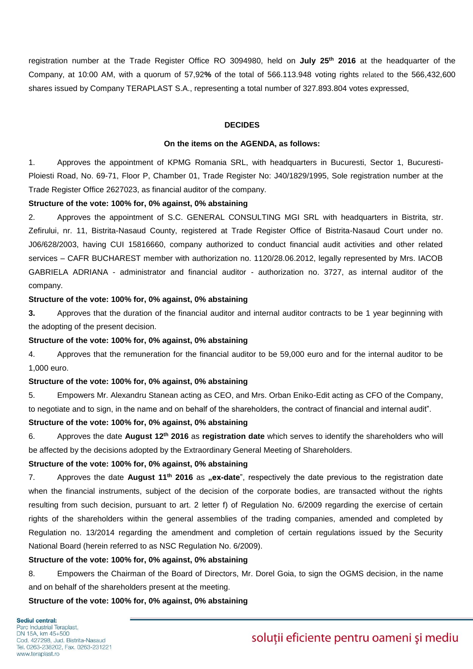registration number at the Trade Register Office RO 3094980, held on **July 25th 2016** at the headquarter of the Company, at 10:00 AM, with a quorum of 57,92**%** of the total of 566.113.948 voting rights related to the 566,432,600 shares issued by Company TERAPLAST S.A., representing a total number of 327.893.804 votes expressed,

#### **DECIDES**

#### **On the items on the AGENDA, as follows:**

1. Approves the appointment of KPMG Romania SRL, with headquarters in Bucuresti, Sector 1, Bucuresti-Ploiesti Road, No. 69-71, Floor P, Chamber 01, Trade Register No: J40/1829/1995, Sole registration number at the Trade Register Office 2627023, as financial auditor of the company.

#### **Structure of the vote: 100% for, 0% against, 0% abstaining**

2. Approves the appointment of S.C. GENERAL CONSULTING MGI SRL with headquarters in Bistrita, str. Zefirului, nr. 11, Bistrita-Nasaud County, registered at Trade Register Office of Bistrita-Nasaud Court under no. J06/628/2003, having CUI 15816660, company authorized to conduct financial audit activities and other related services – CAFR BUCHAREST member with authorization no. 1120/28.06.2012, legally represented by Mrs. IACOB GABRIELA ADRIANA - administrator and financial auditor - authorization no. 3727, as internal auditor of the company.

#### **Structure of the vote: 100% for, 0% against, 0% abstaining**

**3.** Approves that the duration of the financial auditor and internal auditor contracts to be 1 year beginning with the adopting of the present decision.

#### **Structure of the vote: 100% for, 0% against, 0% abstaining**

4. Approves that the remuneration for the financial auditor to be 59,000 euro and for the internal auditor to be 1,000 euro.

#### **Structure of the vote: 100% for, 0% against, 0% abstaining**

5. Empowers Mr. Alexandru Stanean acting as CEO, and Mrs. Orban Eniko-Edit acting as CFO of the Company, to negotiate and to sign, in the name and on behalf of the shareholders, the contract of financial and internal audit".

## **Structure of the vote: 100% for, 0% against, 0% abstaining**

6. Approves the date **August 12th 2016** as **registration date** which serves to identify the shareholders who will be affected by the decisions adopted by the Extraordinary General Meeting of Shareholders.

#### **Structure of the vote: 100% for, 0% against, 0% abstaining**

7. Approves the date **August 11<sup>th</sup> 2016** as **"ex-date**", respectively the date previous to the registration date when the financial instruments, subject of the decision of the corporate bodies, are transacted without the rights resulting from such decision, pursuant to art. 2 letter f) of Regulation No. 6/2009 regarding the exercise of certain rights of the shareholders within the general assemblies of the trading companies, amended and completed by Regulation no. 13/2014 regarding the amendment and completion of certain regulations issued by the Security National Board (herein referred to as NSC Regulation No. 6/2009).

### **Structure of the vote: 100% for, 0% against, 0% abstaining**

8. Empowers the Chairman of the Board of Directors, Mr. Dorel Goia, to sign the OGMS decision, in the name and on behalf of the shareholders present at the meeting.

### **Structure of the vote: 100% for, 0% against, 0% abstaining**

## soluții eficiente pentru oameni și mediu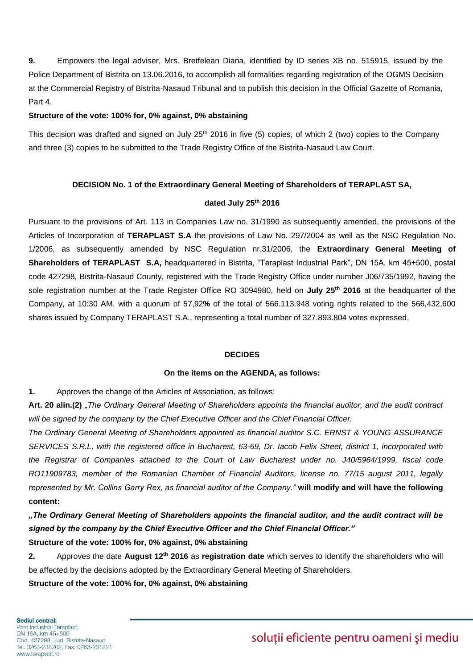**9.** Empowers the legal adviser, Mrs. Bretfelean Diana, identified by ID series XB no. 515915, issued by the Police Department of Bistrita on 13.06.2016, to accomplish all formalities regarding registration of the OGMS Decision at the Commercial Registry of Bistrita-Nasaud Tribunal and to publish this decision in the Official Gazette of Romania, Part 4.

#### **Structure of the vote: 100% for, 0% against, 0% abstaining**

This decision was drafted and signed on July 25<sup>th</sup> 2016 in five (5) copies, of which 2 (two) copies to the Company and three (3) copies to be submitted to the Trade Registry Office of the Bistrita-Nasaud Law Court.

## **DECISION No. 1 of the Extraordinary General Meeting of Shareholders of TERAPLAST SA,**

#### **dated July 25 th 2016**

Pursuant to the provisions of Art. 113 in Companies Law no. 31/1990 as subsequently amended, the provisions of the Articles of Incorporation of **TERAPLAST S.A** the provisions of Law No. 297/2004 as well as the NSC Regulation No. 1/2006, as subsequently amended by NSC Regulation nr.31/2006, the **Extraordinary General Meeting of Shareholders of TERAPLAST S.A,** headquartered in Bistrita, "Teraplast Industrial Park", DN 15A, km 45+500, postal code 427298, Bistrita-Nasaud County, registered with the Trade Registry Office under number J06/735/1992, having the sole registration number at the Trade Register Office RO 3094980, held on **July 25 th 2016** at the headquarter of the Company, at 10:30 AM, with a quorum of 57,92**%** of the total of 566.113.948 voting rights related to the 566,432,600 shares issued by Company TERAPLAST S.A., representing a total number of 327.893.804 votes expressed,

## **DECIDES**

#### **On the items on the AGENDA, as follows:**

**1.** Approves the change of the Articles of Association, as follows:

**Art. 20 alin.(2)** *"The Ordinary General Meeting of Shareholders appoints the financial auditor, and the audit contract will be signed by the company by the Chief Executive Officer and the Chief Financial Officer.*

*The Ordinary General Meeting of Shareholders appointed as financial auditor S.C. ERNST & YOUNG ASSURANCE SERVICES S.R.L, with the registered office in Bucharest, 63-69, Dr. Iacob Felix Street, district 1, incorporated with the Registrar of Companies attached to the Court of Law Bucharest under no. J40/5964/1999, fiscal code RO11909783, member of the Romanian Chamber of Financial Auditors, license no. 77/15 august 2011, legally represented by Mr. Collins Garry Rex, as financial auditor of the Company."* **will modify and will have the following content:** 

*"The Ordinary General Meeting of Shareholders appoints the financial auditor, and the audit contract will be signed by the company by the Chief Executive Officer and the Chief Financial Officer."*

**Structure of the vote: 100% for, 0% against, 0% abstaining**

**2.** Approves the date **August 12th 2016** as **registration date** which serves to identify the shareholders who will be affected by the decisions adopted by the Extraordinary General Meeting of Shareholders.

**Structure of the vote: 100% for, 0% against, 0% abstaining**